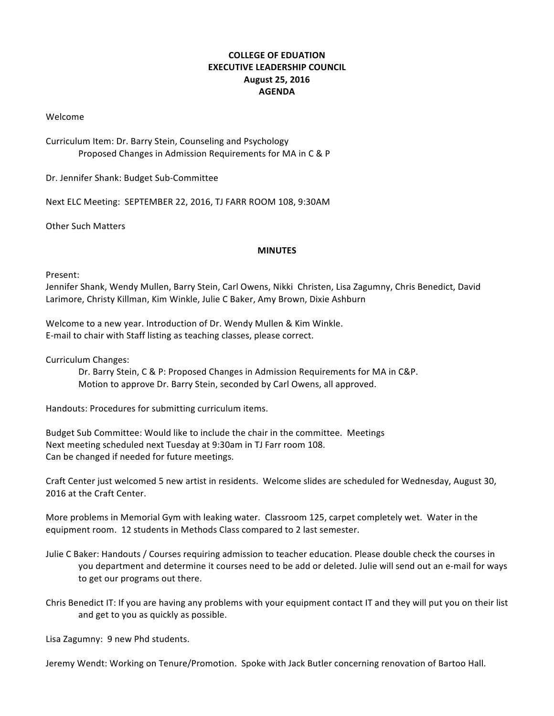## **COLLEGE OF EDUATION EXECUTIVE LEADERSHIP COUNCIL August 25, 2016 AGENDA**

Welcome 

Curriculum Item: Dr. Barry Stein, Counseling and Psychology Proposed Changes in Admission Requirements for MA in C & P

Dr. Jennifer Shank: Budget Sub-Committee

Next ELC Meeting: SEPTEMBER 22, 2016, TJ FARR ROOM 108, 9:30AM

**Other Such Matters** 

## **MINUTES**

## Present:

Jennifer Shank, Wendy Mullen, Barry Stein, Carl Owens, Nikki Christen, Lisa Zagumny, Chris Benedict, David Larimore, Christy Killman, Kim Winkle, Julie C Baker, Amy Brown, Dixie Ashburn

Welcome to a new year. Introduction of Dr. Wendy Mullen & Kim Winkle. E-mail to chair with Staff listing as teaching classes, please correct.

Curriculum Changes:

Dr. Barry Stein, C & P: Proposed Changes in Admission Requirements for MA in C&P. Motion to approve Dr. Barry Stein, seconded by Carl Owens, all approved.

Handouts: Procedures for submitting curriculum items.

Budget Sub Committee: Would like to include the chair in the committee. Meetings Next meeting scheduled next Tuesday at 9:30am in TJ Farr room 108. Can be changed if needed for future meetings.

Craft Center just welcomed 5 new artist in residents. Welcome slides are scheduled for Wednesday, August 30, 2016 at the Craft Center.

More problems in Memorial Gym with leaking water. Classroom 125, carpet completely wet. Water in the equipment room. 12 students in Methods Class compared to 2 last semester.

- Julie C Baker: Handouts / Courses requiring admission to teacher education. Please double check the courses in you department and determine it courses need to be add or deleted. Julie will send out an e-mail for ways to get our programs out there.
- Chris Benedict IT: If you are having any problems with your equipment contact IT and they will put you on their list and get to you as quickly as possible.

Lisa Zagumny: 9 new Phd students.

Jeremy Wendt: Working on Tenure/Promotion. Spoke with Jack Butler concerning renovation of Bartoo Hall.